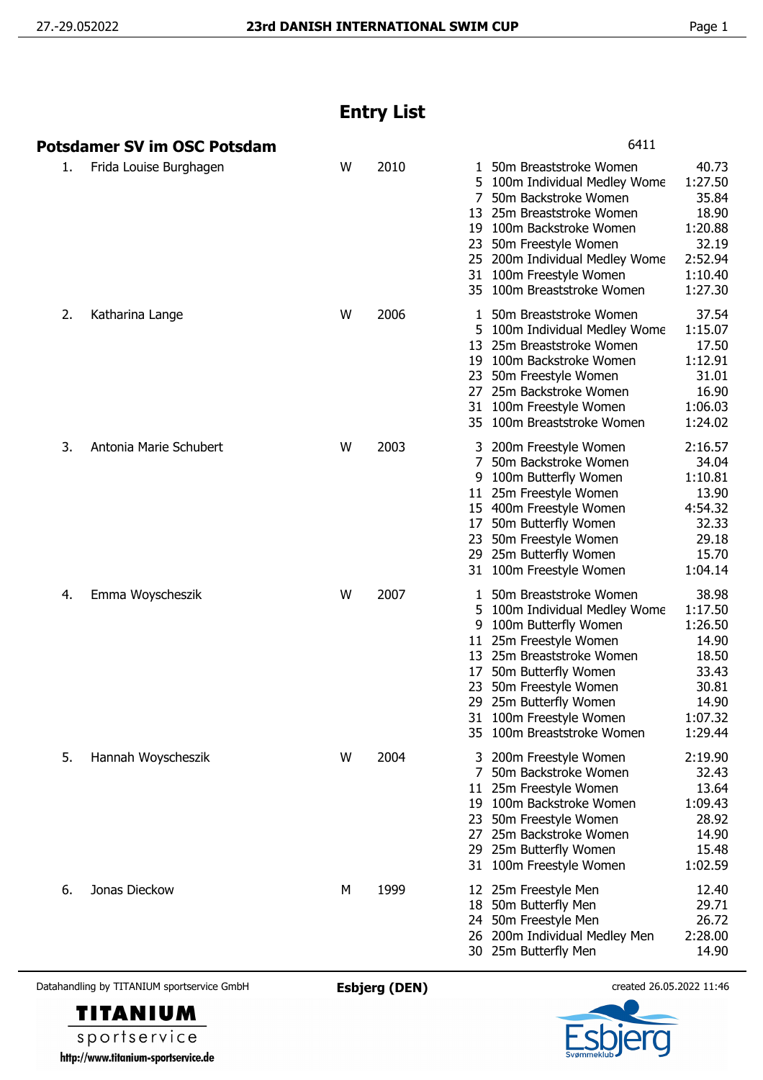## **Entry List**

|    | <b>Potsdamer SV im OSC Potsdam</b> |   |      | 6411                                                                                                                                                                                                                                                                                                                                                                                                        |
|----|------------------------------------|---|------|-------------------------------------------------------------------------------------------------------------------------------------------------------------------------------------------------------------------------------------------------------------------------------------------------------------------------------------------------------------------------------------------------------------|
| 1. | Frida Louise Burghagen             | W | 2010 | 40.73<br>50m Breaststroke Women<br>1<br>1:27.50<br>5.<br>100m Individual Medley Wome<br>35.84<br>50m Backstroke Women<br>25m Breaststroke Women<br>18.90<br>13<br>1:20.88<br>19<br>100m Backstroke Women<br>32.19<br>23<br>50m Freestyle Women<br>2:52.94<br>25 200m Individual Medley Wome<br>1:10.40<br>31 100m Freestyle Women<br>1:27.30<br>35 100m Breaststroke Women                                  |
| 2. | Katharina Lange                    | W | 2006 | 37.54<br>50m Breaststroke Women<br>1.<br>1:15.07<br>5.<br>100m Individual Medley Wome<br>17.50<br>25m Breaststroke Women<br>13<br>100m Backstroke Women<br>1:12.91<br>19<br>31.01<br>23<br>50m Freestyle Women<br>16.90<br>27<br>25m Backstroke Women<br>1:06.03<br>31<br>100m Freestyle Women<br>1:24.02<br>35 100m Breaststroke Women                                                                     |
| 3. | Antonia Marie Schubert             | W | 2003 | 2:16.57<br>3 200m Freestyle Women<br>7<br>34.04<br>50m Backstroke Women<br>1:10.81<br>100m Butterfly Women<br>9<br>11 25m Freestyle Women<br>13.90<br>4:54.32<br>15 400m Freestyle Women<br>32.33<br>50m Butterfly Women<br>17<br>29.18<br>50m Freestyle Women<br>23<br>15.70<br>29 25m Butterfly Women<br>1:04.14<br>31 100m Freestyle Women                                                               |
| 4. | Emma Woyscheszik                   | W | 2007 | 38.98<br>50m Breaststroke Women<br>ı<br>1:17.50<br>100m Individual Medley Wome<br>5<br>1:26.50<br>100m Butterfly Women<br>9<br>25m Freestyle Women<br>14.90<br>11<br>25m Breaststroke Women<br>18.50<br>13<br>33.43<br>50m Butterfly Women<br>17<br>50m Freestyle Women<br>30.81<br>23<br>29<br>25m Butterfly Women<br>14.90<br>31 100m Freestyle Women<br>1:07.32<br>35 100m Breaststroke Women<br>1:29.44 |
| 5. | Hannah Woyscheszik                 | W | 2004 | 2:19.90<br>200m Freestyle Women<br>32.43<br>7<br>50m Backstroke Women<br>11 25m Freestyle Women<br>13.64<br>1:09.43<br>19 100m Backstroke Women<br>28.92<br>50m Freestyle Women<br>23<br>27 25m Backstroke Women<br>14.90<br>15.48<br>29 25m Butterfly Women<br>1:02.59<br>31 100m Freestyle Women                                                                                                          |
| 6. | Jonas Dieckow                      | М | 1999 | 12.40<br>12 25m Freestyle Men<br>29.71<br>50m Butterfly Men<br>18<br>50m Freestyle Men<br>26.72<br>24<br>2:28.00<br>200m Individual Medley Men<br>26<br>30 25m Butterfly Men<br>14.90                                                                                                                                                                                                                       |

Datahandling by TITANIUM sportservice GmbH **Esbjerg (DEN)** created 26.05.2022 11:46



sportservice http://www.titanium-sportservice.de

**TITANIUM**